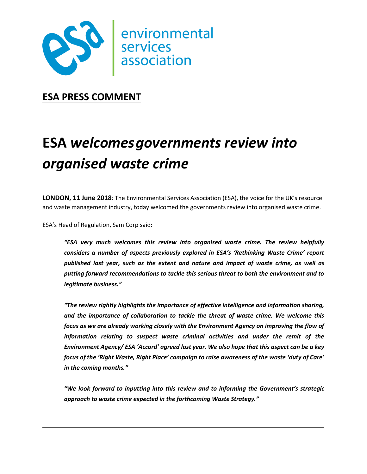

**ESA PRESS COMMENT**

## **ESA** *welcomesgovernments review into organised waste crime*

**LONDON, 11 June 2018**: The Environmental Services Association (ESA), the voice for the UK's resource and waste management industry, today welcomed the governments review into organised waste crime.

ESA's Head of Regulation, Sam Corp said:

*"ESA very much welcomes this review into organised waste crime. The review helpfully considers a number of aspects previously explored in ESA's 'Rethinking Waste Crime' report published last year, such as the extent and nature and impact of waste crime, as well as putting forward recommendations to tackle this serious threat to both the environment and to legitimate business."*

*"The review rightly highlights the importance of effective intelligence and information sharing, and the importance of collaboration to tackle the threat of waste crime. We welcome this focus as we are already working closely with the Environment Agency on improving the flow of information relating to suspect waste criminal activities and under the remit of the Environment Agency/ ESA 'Accord' agreed last year. We also hope that this aspect can be a key focus of the 'Right Waste, Right Place' campaign to raise awareness of the waste 'duty of Care' in the coming months."*

*"We look forward to inputting into this review and to informing the Government's strategic approach to waste crime expected in the forthcoming Waste Strategy."*